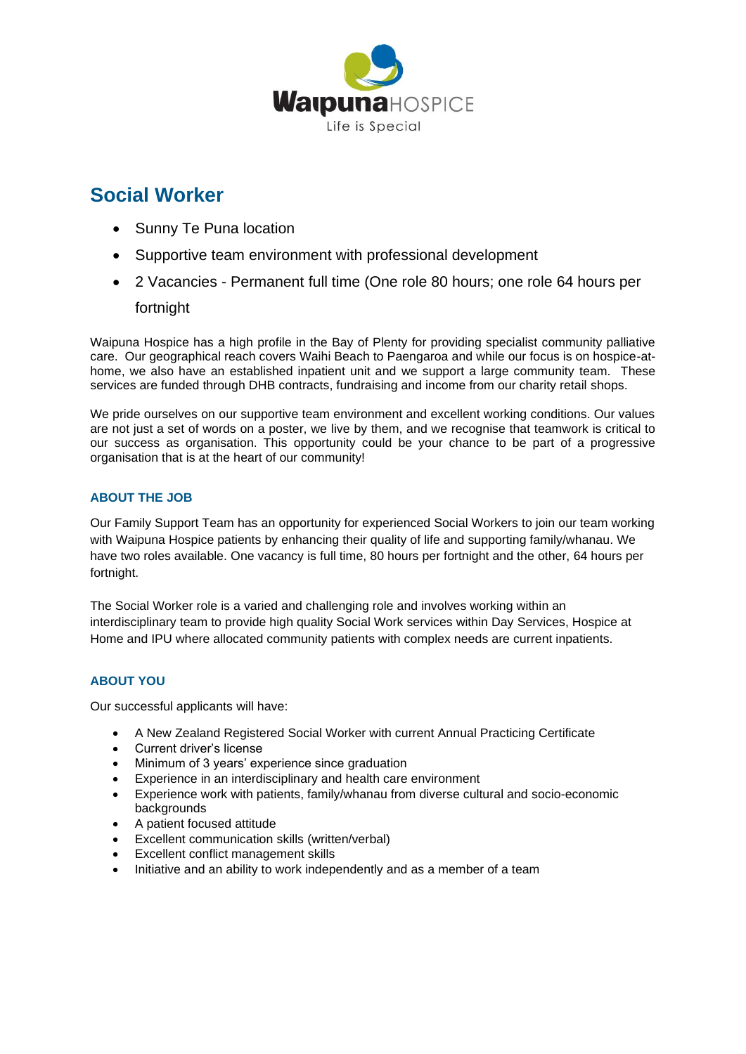

# **Social Worker**

- Sunny Te Puna location
- Supportive team environment with professional development
- 2 Vacancies Permanent full time (One role 80 hours; one role 64 hours per

# fortnight

Waipuna Hospice has a high profile in the Bay of Plenty for providing specialist community palliative care. Our geographical reach covers Waihi Beach to Paengaroa and while our focus is on hospice-athome, we also have an established inpatient unit and we support a large community team. These services are funded through DHB contracts, fundraising and income from our charity retail shops.

We pride ourselves on our supportive team environment and excellent working conditions. Our values are not just a set of words on a poster, we live by them, and we recognise that teamwork is critical to our success as organisation. This opportunity could be your chance to be part of a progressive organisation that is at the heart of our community!

## **ABOUT THE JOB**

Our Family Support Team has an opportunity for experienced Social Workers to join our team working with Waipuna Hospice patients by enhancing their quality of life and supporting family/whanau. We have two roles available. One vacancy is full time, 80 hours per fortnight and the other, 64 hours per fortnight.

The Social Worker role is a varied and challenging role and involves working within an interdisciplinary team to provide high quality Social Work services within Day Services, Hospice at Home and IPU where allocated community patients with complex needs are current inpatients.

## **ABOUT YOU**

Our successful applicants will have:

- A New Zealand Registered Social Worker with current Annual Practicing Certificate
- Current driver's license
- Minimum of 3 years' experience since graduation
- Experience in an interdisciplinary and health care environment
- Experience work with patients, family/whanau from diverse cultural and socio-economic backgrounds
- A patient focused attitude
- Excellent communication skills (written/verbal)
- **Excellent conflict management skills**
- Initiative and an ability to work independently and as a member of a team